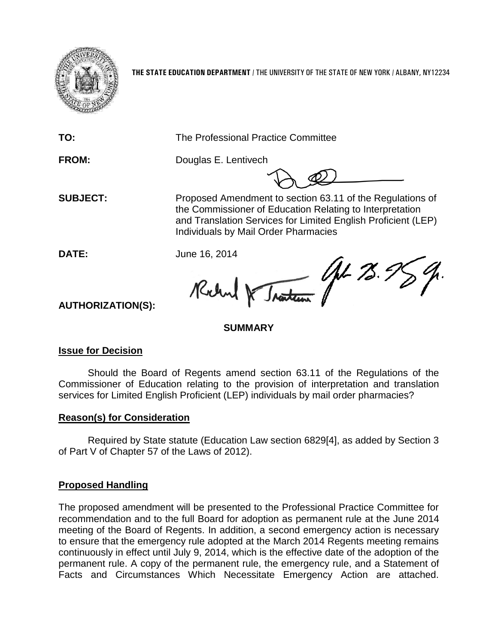

**THE STATE EDUCATION DEPARTMENT** / THE UNIVERSITY OF THE STATE OF NEW YORK / ALBANY, NY12234

**TO:** The Professional Practice Committee

**FROM:** Douglas E. Lentivech

**SUBJECT:** Proposed Amendment to section 63.11 of the Regulations of the Commissioner of Education Relating to Interpretation and Translation Services for Limited English Proficient (LEP) Individuals by Mail Order Pharmacies

**DATE:** June 16, 2014

Traiteau St 78. 9 Rochard DE

**AUTHORIZATION(S):**

# **SUMMARY**

# **Issue for Decision**

Should the Board of Regents amend section 63.11 of the Regulations of the Commissioner of Education relating to the provision of interpretation and translation services for Limited English Proficient (LEP) individuals by mail order pharmacies?

# **Reason(s) for Consideration**

Required by State statute (Education Law section 6829[4], as added by Section 3 of Part V of Chapter 57 of the Laws of 2012).

# **Proposed Handling**

The proposed amendment will be presented to the Professional Practice Committee for recommendation and to the full Board for adoption as permanent rule at the June 2014 meeting of the Board of Regents. In addition, a second emergency action is necessary to ensure that the emergency rule adopted at the March 2014 Regents meeting remains continuously in effect until July 9, 2014, which is the effective date of the adoption of the permanent rule. A copy of the permanent rule, the emergency rule, and a Statement of Facts and Circumstances Which Necessitate Emergency Action are attached.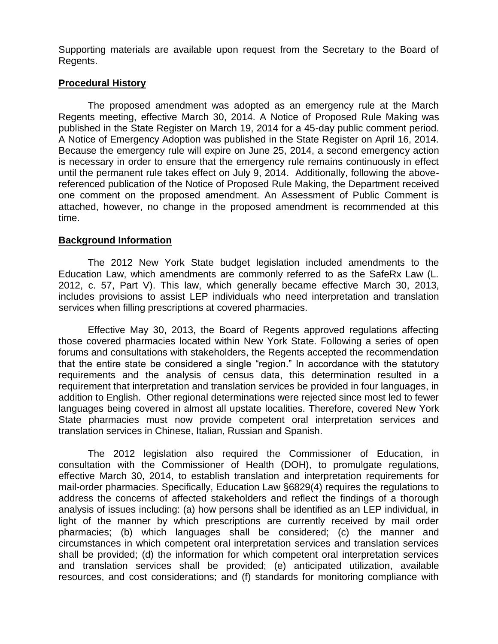Supporting materials are available upon request from the Secretary to the Board of Regents.

## **Procedural History**

The proposed amendment was adopted as an emergency rule at the March Regents meeting, effective March 30, 2014. A Notice of Proposed Rule Making was published in the State Register on March 19, 2014 for a 45-day public comment period. A Notice of Emergency Adoption was published in the State Register on April 16, 2014. Because the emergency rule will expire on June 25, 2014, a second emergency action is necessary in order to ensure that the emergency rule remains continuously in effect until the permanent rule takes effect on July 9, 2014. Additionally, following the abovereferenced publication of the Notice of Proposed Rule Making, the Department received one comment on the proposed amendment. An Assessment of Public Comment is attached, however, no change in the proposed amendment is recommended at this time.

## **Background Information**

The 2012 New York State budget legislation included amendments to the Education Law, which amendments are commonly referred to as the SafeRx Law (L. 2012, c. 57, Part V). This law, which generally became effective March 30, 2013, includes provisions to assist LEP individuals who need interpretation and translation services when filling prescriptions at covered pharmacies.

Effective May 30, 2013, the Board of Regents approved regulations affecting those covered pharmacies located within New York State. Following a series of open forums and consultations with stakeholders, the Regents accepted the recommendation that the entire state be considered a single "region." In accordance with the statutory requirements and the analysis of census data, this determination resulted in a requirement that interpretation and translation services be provided in four languages, in addition to English. Other regional determinations were rejected since most led to fewer languages being covered in almost all upstate localities. Therefore, covered New York State pharmacies must now provide competent oral interpretation services and translation services in Chinese, Italian, Russian and Spanish.

The 2012 legislation also required the Commissioner of Education, in consultation with the Commissioner of Health (DOH), to promulgate regulations, effective March 30, 2014, to establish translation and interpretation requirements for mail-order pharmacies. Specifically, Education Law §6829(4) requires the regulations to address the concerns of affected stakeholders and reflect the findings of a thorough analysis of issues including: (a) how persons shall be identified as an LEP individual, in light of the manner by which prescriptions are currently received by mail order pharmacies; (b) which languages shall be considered; (c) the manner and circumstances in which competent oral interpretation services and translation services shall be provided; (d) the information for which competent oral interpretation services and translation services shall be provided; (e) anticipated utilization, available resources, and cost considerations; and (f) standards for monitoring compliance with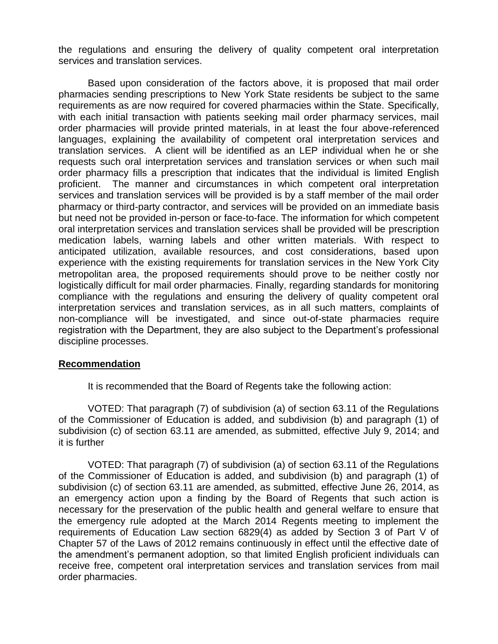the regulations and ensuring the delivery of quality competent oral interpretation services and translation services.

Based upon consideration of the factors above, it is proposed that mail order pharmacies sending prescriptions to New York State residents be subject to the same requirements as are now required for covered pharmacies within the State. Specifically, with each initial transaction with patients seeking mail order pharmacy services, mail order pharmacies will provide printed materials, in at least the four above-referenced languages, explaining the availability of competent oral interpretation services and translation services. A client will be identified as an LEP individual when he or she requests such oral interpretation services and translation services or when such mail order pharmacy fills a prescription that indicates that the individual is limited English proficient. The manner and circumstances in which competent oral interpretation services and translation services will be provided is by a staff member of the mail order pharmacy or third-party contractor, and services will be provided on an immediate basis but need not be provided in-person or face-to-face. The information for which competent oral interpretation services and translation services shall be provided will be prescription medication labels, warning labels and other written materials. With respect to anticipated utilization, available resources, and cost considerations, based upon experience with the existing requirements for translation services in the New York City metropolitan area, the proposed requirements should prove to be neither costly nor logistically difficult for mail order pharmacies. Finally, regarding standards for monitoring compliance with the regulations and ensuring the delivery of quality competent oral interpretation services and translation services, as in all such matters, complaints of non-compliance will be investigated, and since out-of-state pharmacies require registration with the Department, they are also subject to the Department's professional discipline processes.

## **Recommendation**

It is recommended that the Board of Regents take the following action:

VOTED: That paragraph (7) of subdivision (a) of section 63.11 of the Regulations of the Commissioner of Education is added, and subdivision (b) and paragraph (1) of subdivision (c) of section 63.11 are amended, as submitted, effective July 9, 2014; and it is further

VOTED: That paragraph (7) of subdivision (a) of section 63.11 of the Regulations of the Commissioner of Education is added, and subdivision (b) and paragraph (1) of subdivision (c) of section 63.11 are amended, as submitted, effective June 26, 2014, as an emergency action upon a finding by the Board of Regents that such action is necessary for the preservation of the public health and general welfare to ensure that the emergency rule adopted at the March 2014 Regents meeting to implement the requirements of Education Law section 6829(4) as added by Section 3 of Part V of Chapter 57 of the Laws of 2012 remains continuously in effect until the effective date of the amendment's permanent adoption, so that limited English proficient individuals can receive free, competent oral interpretation services and translation services from mail order pharmacies.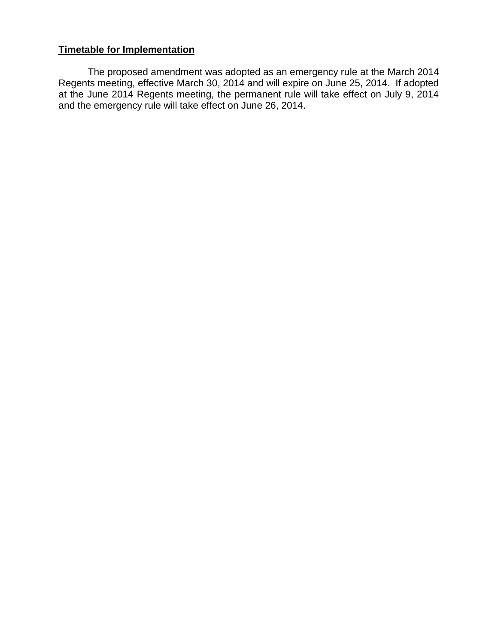## **Timetable for Implementation**

The proposed amendment was adopted as an emergency rule at the March 2014 Regents meeting, effective March 30, 2014 and will expire on June 25, 2014. If adopted at the June 2014 Regents meeting, the permanent rule will take effect on July 9, 2014 and the emergency rule will take effect on June 26, 2014.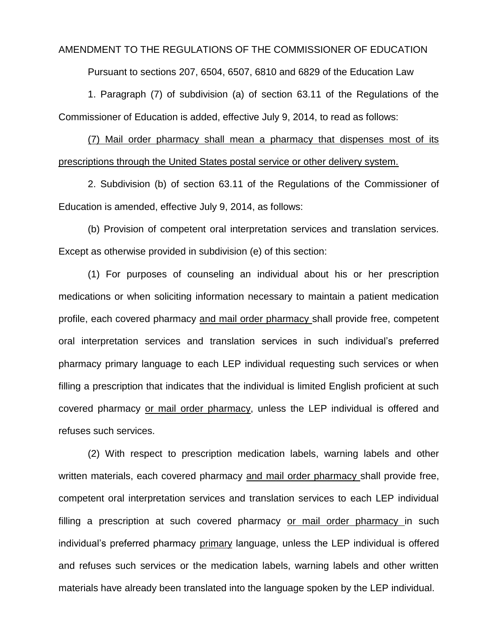#### AMENDMENT TO THE REGULATIONS OF THE COMMISSIONER OF EDUCATION

Pursuant to sections 207, 6504, 6507, 6810 and 6829 of the Education Law

1. Paragraph (7) of subdivision (a) of section 63.11 of the Regulations of the Commissioner of Education is added, effective July 9, 2014, to read as follows:

(7) Mail order pharmacy shall mean a pharmacy that dispenses most of its prescriptions through the United States postal service or other delivery system.

2. Subdivision (b) of section 63.11 of the Regulations of the Commissioner of Education is amended, effective July 9, 2014, as follows:

(b) Provision of competent oral interpretation services and translation services. Except as otherwise provided in subdivision (e) of this section:

(1) For purposes of counseling an individual about his or her prescription medications or when soliciting information necessary to maintain a patient medication profile, each covered pharmacy and mail order pharmacy shall provide free, competent oral interpretation services and translation services in such individual's preferred pharmacy primary language to each LEP individual requesting such services or when filling a prescription that indicates that the individual is limited English proficient at such covered pharmacy or mail order pharmacy, unless the LEP individual is offered and refuses such services.

(2) With respect to prescription medication labels, warning labels and other written materials, each covered pharmacy and mail order pharmacy shall provide free, competent oral interpretation services and translation services to each LEP individual filling a prescription at such covered pharmacy or mail order pharmacy in such individual's preferred pharmacy primary language, unless the LEP individual is offered and refuses such services or the medication labels, warning labels and other written materials have already been translated into the language spoken by the LEP individual.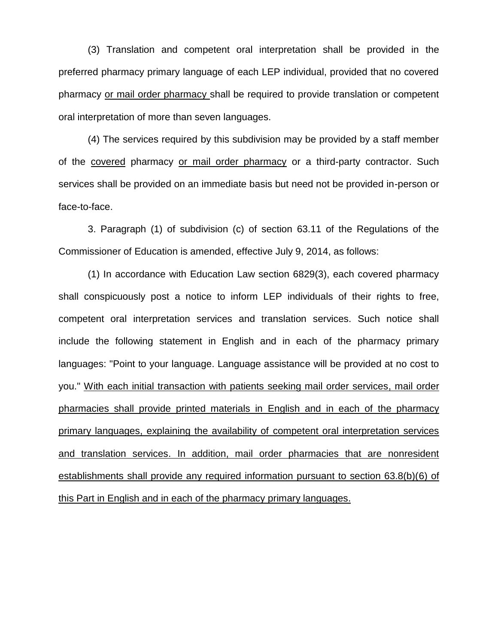(3) Translation and competent oral interpretation shall be provided in the preferred pharmacy primary language of each LEP individual, provided that no covered pharmacy or mail order pharmacy shall be required to provide translation or competent oral interpretation of more than seven languages.

(4) The services required by this subdivision may be provided by a staff member of the covered pharmacy or mail order pharmacy or a third-party contractor. Such services shall be provided on an immediate basis but need not be provided in-person or face-to-face.

3. Paragraph (1) of subdivision (c) of section 63.11 of the Regulations of the Commissioner of Education is amended, effective July 9, 2014, as follows:

(1) In accordance with Education Law section 6829(3), each covered pharmacy shall conspicuously post a notice to inform LEP individuals of their rights to free, competent oral interpretation services and translation services. Such notice shall include the following statement in English and in each of the pharmacy primary languages: "Point to your language. Language assistance will be provided at no cost to you." With each initial transaction with patients seeking mail order services, mail order pharmacies shall provide printed materials in English and in each of the pharmacy primary languages, explaining the availability of competent oral interpretation services and translation services. In addition, mail order pharmacies that are nonresident establishments shall provide any required information pursuant to section 63.8(b)(6) of this Part in English and in each of the pharmacy primary languages.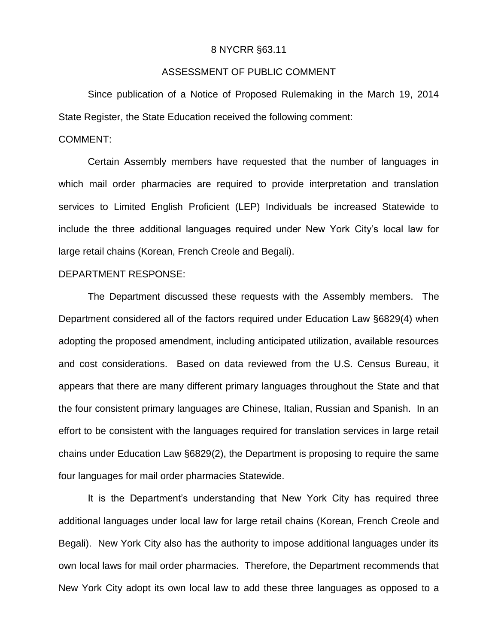#### 8 NYCRR §63.11

### ASSESSMENT OF PUBLIC COMMENT

Since publication of a Notice of Proposed Rulemaking in the March 19, 2014 State Register, the State Education received the following comment:

#### COMMENT:

Certain Assembly members have requested that the number of languages in which mail order pharmacies are required to provide interpretation and translation services to Limited English Proficient (LEP) Individuals be increased Statewide to include the three additional languages required under New York City's local law for large retail chains (Korean, French Creole and Begali).

#### DEPARTMENT RESPONSE:

The Department discussed these requests with the Assembly members. The Department considered all of the factors required under Education Law §6829(4) when adopting the proposed amendment, including anticipated utilization, available resources and cost considerations. Based on data reviewed from the U.S. Census Bureau, it appears that there are many different primary languages throughout the State and that the four consistent primary languages are Chinese, Italian, Russian and Spanish. In an effort to be consistent with the languages required for translation services in large retail chains under Education Law §6829(2), the Department is proposing to require the same four languages for mail order pharmacies Statewide.

It is the Department's understanding that New York City has required three additional languages under local law for large retail chains (Korean, French Creole and Begali). New York City also has the authority to impose additional languages under its own local laws for mail order pharmacies. Therefore, the Department recommends that New York City adopt its own local law to add these three languages as opposed to a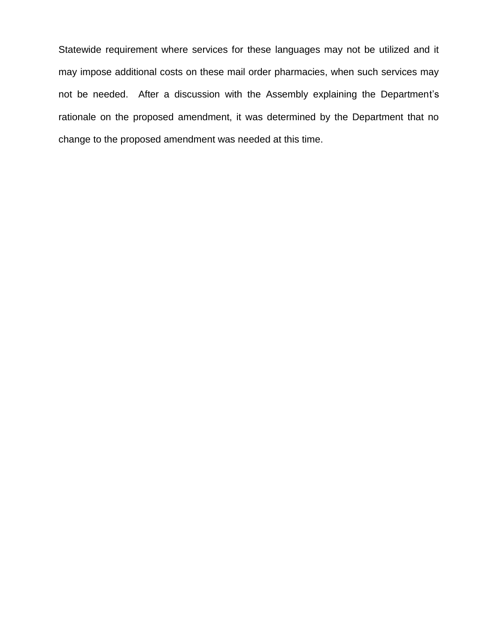Statewide requirement where services for these languages may not be utilized and it may impose additional costs on these mail order pharmacies, when such services may not be needed. After a discussion with the Assembly explaining the Department's rationale on the proposed amendment, it was determined by the Department that no change to the proposed amendment was needed at this time.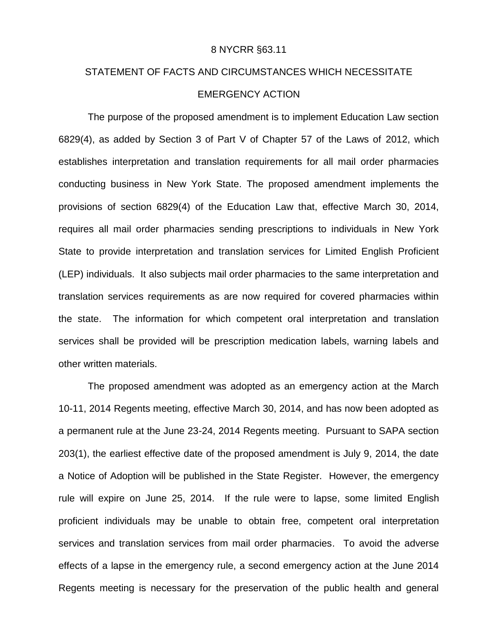#### 8 NYCRR §63.11

# STATEMENT OF FACTS AND CIRCUMSTANCES WHICH NECESSITATE EMERGENCY ACTION

The purpose of the proposed amendment is to implement Education Law section 6829(4), as added by Section 3 of Part V of Chapter 57 of the Laws of 2012, which establishes interpretation and translation requirements for all mail order pharmacies conducting business in New York State. The proposed amendment implements the provisions of section 6829(4) of the Education Law that, effective March 30, 2014, requires all mail order pharmacies sending prescriptions to individuals in New York State to provide interpretation and translation services for Limited English Proficient (LEP) individuals. It also subjects mail order pharmacies to the same interpretation and translation services requirements as are now required for covered pharmacies within the state. The information for which competent oral interpretation and translation services shall be provided will be prescription medication labels, warning labels and other written materials.

The proposed amendment was adopted as an emergency action at the March 10-11, 2014 Regents meeting, effective March 30, 2014, and has now been adopted as a permanent rule at the June 23-24, 2014 Regents meeting. Pursuant to SAPA section 203(1), the earliest effective date of the proposed amendment is July 9, 2014, the date a Notice of Adoption will be published in the State Register. However, the emergency rule will expire on June 25, 2014. If the rule were to lapse, some limited English proficient individuals may be unable to obtain free, competent oral interpretation services and translation services from mail order pharmacies. To avoid the adverse effects of a lapse in the emergency rule, a second emergency action at the June 2014 Regents meeting is necessary for the preservation of the public health and general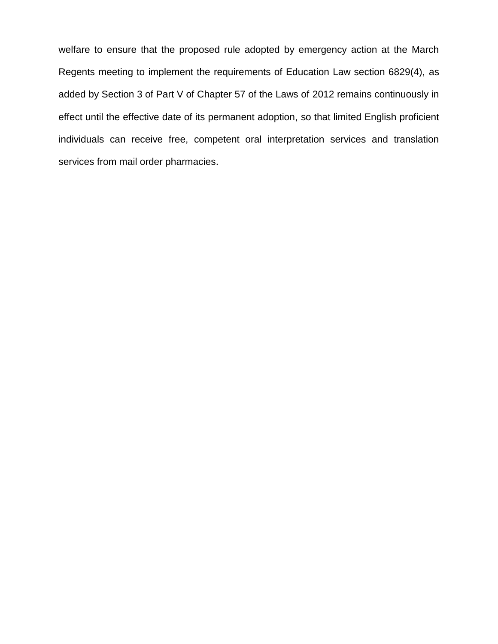welfare to ensure that the proposed rule adopted by emergency action at the March Regents meeting to implement the requirements of Education Law section 6829(4), as added by Section 3 of Part V of Chapter 57 of the Laws of 2012 remains continuously in effect until the effective date of its permanent adoption, so that limited English proficient individuals can receive free, competent oral interpretation services and translation services from mail order pharmacies.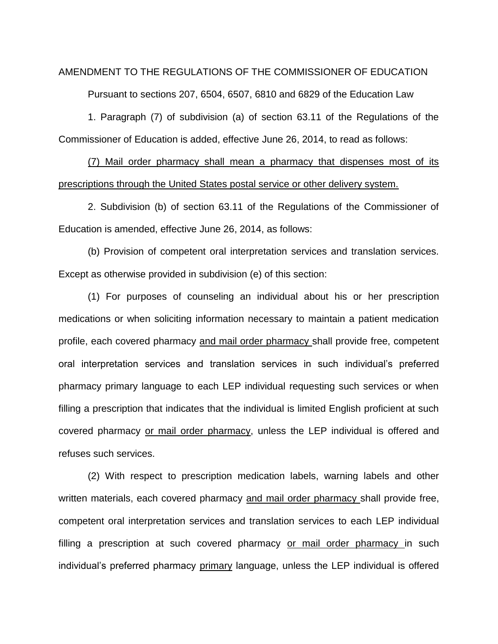#### AMENDMENT TO THE REGULATIONS OF THE COMMISSIONER OF EDUCATION

Pursuant to sections 207, 6504, 6507, 6810 and 6829 of the Education Law

1. Paragraph (7) of subdivision (a) of section 63.11 of the Regulations of the Commissioner of Education is added, effective June 26, 2014, to read as follows:

(7) Mail order pharmacy shall mean a pharmacy that dispenses most of its prescriptions through the United States postal service or other delivery system.

2. Subdivision (b) of section 63.11 of the Regulations of the Commissioner of Education is amended, effective June 26, 2014, as follows:

(b) Provision of competent oral interpretation services and translation services. Except as otherwise provided in subdivision (e) of this section:

(1) For purposes of counseling an individual about his or her prescription medications or when soliciting information necessary to maintain a patient medication profile, each covered pharmacy and mail order pharmacy shall provide free, competent oral interpretation services and translation services in such individual's preferred pharmacy primary language to each LEP individual requesting such services or when filling a prescription that indicates that the individual is limited English proficient at such covered pharmacy or mail order pharmacy, unless the LEP individual is offered and refuses such services.

(2) With respect to prescription medication labels, warning labels and other written materials, each covered pharmacy and mail order pharmacy shall provide free, competent oral interpretation services and translation services to each LEP individual filling a prescription at such covered pharmacy or mail order pharmacy in such individual's preferred pharmacy primary language, unless the LEP individual is offered